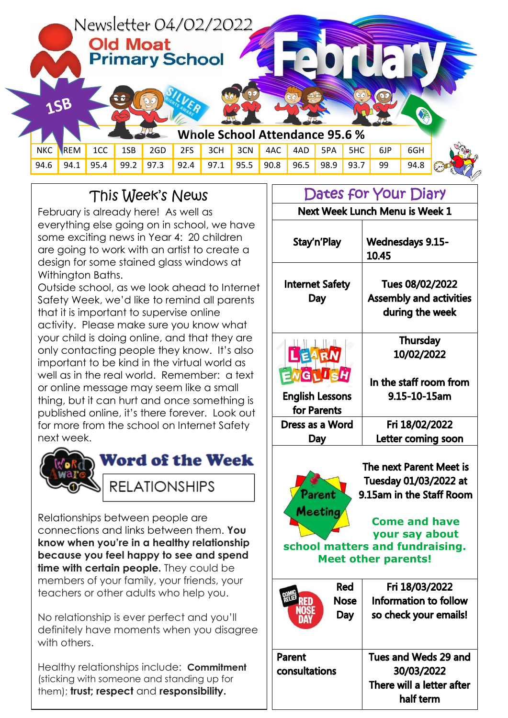

## This Week's News

February is already here! As well as everything else going on in school, we have some exciting news in Year 4: 20 children are going to work with an artist to create a design for some stained glass windows at Withington Baths.

Outside school, as we look ahead to Internet Safety Week, we'd like to remind all parents that it is important to supervise online activity. Please make sure you know what your child is doing online, and that they are only contacting people they know. It's also important to be kind in the virtual world as well as in the real world. Remember: a text or online message may seem like a small thing, but it can hurt and once something is published online, it's there forever. Look out for more from the school on Internet Safety next week.



Relationships between people are connections and links between them. **You know when you're in a healthy relationship because you feel happy to see and spend time with certain people.** They could be members of your family, your friends, your teachers or other adults who help you.

No relationship is ever perfect and you'll definitely have moments when you disagree with others.

Healthy relationships include: **Commitment** (sticking with someone and standing up for them); **trust; respect** and **responsibility.**

Dates for Your Diary Next Week Lunch Menu is Week 1 Stay'n'Play **Wednesdays 9.15-**10.45 **Internet Safety** Tues 08/02/2022 **Assembly and activities** Day during the week **Thursday** 10/02/2022 ARN GLLSH In the staff room from **English Lessons** 9.15-10-15am for Parents Dress as a Word Fri 18/02/2022 Day Letter coming soon



The next Parent Meet is Tuesday 01/03/2022 at 9.15am in the Staff Room

**Come and have your say about school matters and fundraising. Meet other parents!** 

|               | Red         | Fri 18/03/2022            |
|---------------|-------------|---------------------------|
|               | <b>Nose</b> | Information to follow     |
|               | Day         | so check your emails!     |
|               |             |                           |
| Parent        |             | Tues and Weds 29 and      |
| consultations |             | 30/03/2022                |
|               |             | There will a letter after |
|               |             | half term                 |